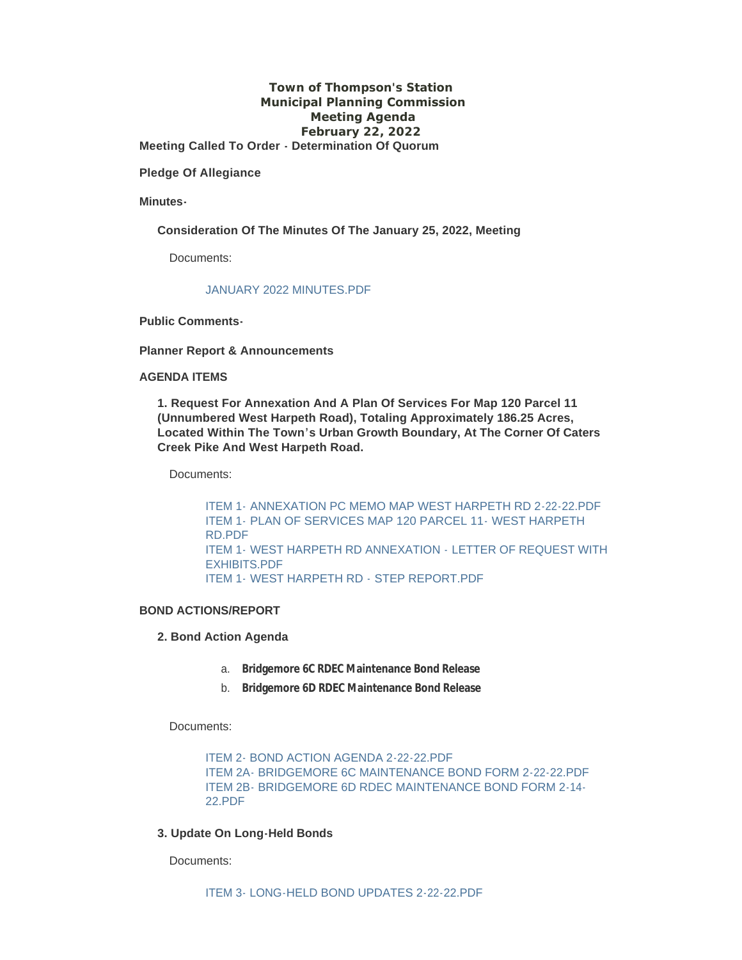## **Town of Thompson's Station Municipal Planning Commission Meeting Agenda February 22, 2022 Meeting Called To Order - Determination Of Quorum**

**Pledge Of Allegiance**

**Minutes-**

**Consideration Of The Minutes Of The January 25, 2022, Meeting**

Documents:

## [JANUARY 2022 MINUTES.PDF](https://www.thompsons-station.com/AgendaCenter/ViewFile/Item/3650?fileID=15214)

**Public Comments-**

**Planner Report & Announcements**

#### **AGENDA ITEMS**

**1. Request For Annexation And A Plan Of Services For Map 120 Parcel 11 (Unnumbered West Harpeth Road), Totaling Approximately 186.25 Acres, Located Within The Town's Urban Growth Boundary, At The Corner Of Caters Creek Pike And West Harpeth Road.**

Documents:

ITEM 1- [ANNEXATION PC MEMO MAP WEST HARPETH RD 2-22-22.PDF](https://www.thompsons-station.com/AgendaCenter/ViewFile/Item/3651?fileID=15216) ITEM 1- [PLAN OF SERVICES MAP 120 PARCEL 11-](https://www.thompsons-station.com/AgendaCenter/ViewFile/Item/3651?fileID=15217) WEST HARPETH RD.PDF ITEM 1- [WEST HARPETH RD ANNEXATION -](https://www.thompsons-station.com/AgendaCenter/ViewFile/Item/3651?fileID=15215) LETTER OF REQUEST WITH EXHIBITS.PDF ITEM 1- [WEST HARPETH RD -](https://www.thompsons-station.com/AgendaCenter/ViewFile/Item/3651?fileID=15218) STEP REPORT.PDF

### **BOND ACTIONS/REPORT**

**2. Bond Action Agenda**

- a. **Bridgemore 6C RDEC Maintenance Bond Release**
- b. **Bridgemore 6D RDEC Maintenance Bond Release**

Documents:

[ITEM 2- BOND ACTION AGENDA 2-22-22.PDF](https://www.thompsons-station.com/AgendaCenter/ViewFile/Item/3652?fileID=15220) [ITEM 2A- BRIDGEMORE 6C MAINTENANCE BOND FORM 2-22-22.PDF](https://www.thompsons-station.com/AgendaCenter/ViewFile/Item/3652?fileID=15221) [ITEM 2B- BRIDGEMORE 6D RDEC MAINTENANCE BOND FORM 2-14-](https://www.thompsons-station.com/AgendaCenter/ViewFile/Item/3652?fileID=15219) 22.PDF

## **3. Update On Long-Held Bonds**

Documents: